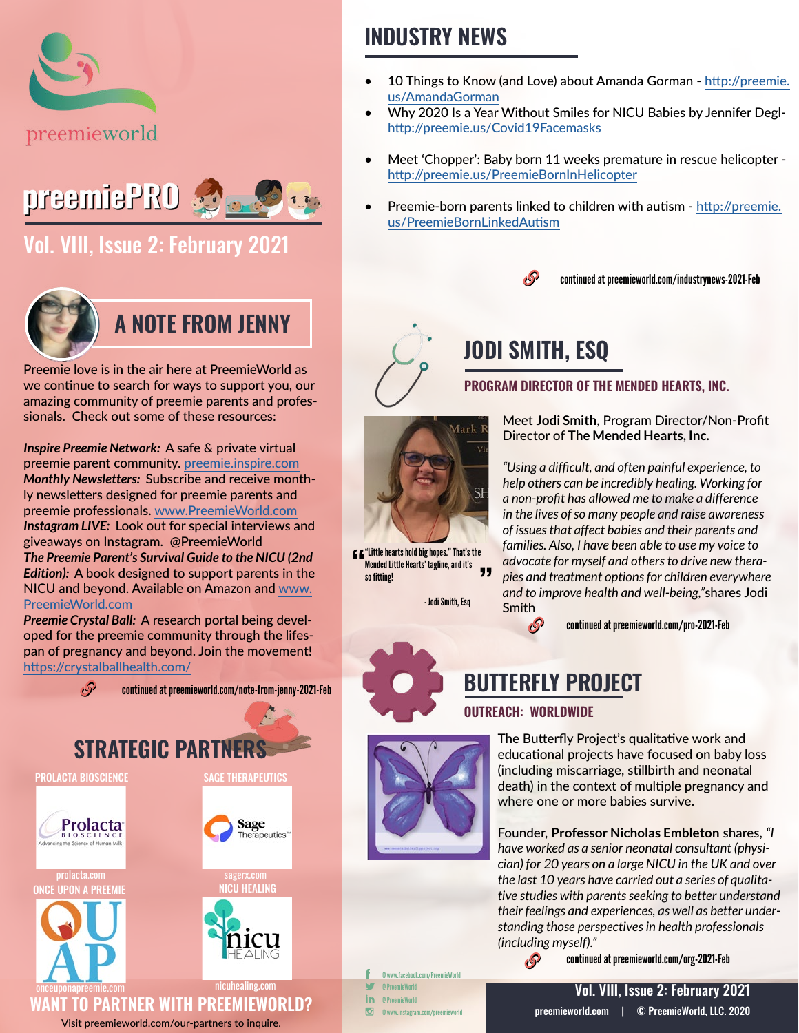



### [Vol. VIII, Issue 2: February 2021](https://preemieworld.com/preemie-pro-digital-issues/)



### **A NOTE FROM JENNY**

Preemie love is in the air here at PreemieWorld as we continue to search for ways to support you, our amazing community of preemie parents and professionals. Check out some of these resources:

*Inspire Preemie Network:* A safe & private virtual preemie parent community. [preemie.inspire.com](http://preemie.inspire.com) *Monthly Newsletters:* Subscribe and receive monthly newsletters designed for preemie parents and preemie professionals. [www.PreemieWorld.com](http://www.PreemieWorld.com) *Instagram LIVE:* Look out for special interviews and giveaways on Instagram. @PreemieWorld *The Preemie Parent's Survival Guide to the NICU (2nd Edition):* A book designed to support parents in the NICU and beyond. Available on Amazon and [www.](http://www.PreemieWorld.com ) [PreemieWorld.com](http://www.PreemieWorld.com )

*Preemie Crystal Ball:* A research portal being developed for the preemie community through the lifespan of pregnancy and beyond. Join the movement! <https://crystalballhealth.com/>





#### Visit [preemieworld.com/our-partners](https://preemieworld.com/our-partners) to inquire.

### **INDUSTRY NEWS**

- 10 Things to Know (and Love) about Amanda Gorman - [http://preemie.](http://preemie.us/AmandaGorman ) [us/AmandaGorman](http://preemie.us/AmandaGorman )
- Why 2020 Is a Year Without Smiles for NICU Babies by Jennifer Deglhttp://preemie.us/Covid19Facemasks
- Meet 'Chopper': Baby born 11 weeks premature in rescue helicopter http://preemie.us/PreemieBornInHelicopter
- Preemie-born parents linked to children with autism [http://preemie.](http://preemie.us/PreemieBornLinkedAutism) [us/PreemieBornLinkedAutism](http://preemie.us/PreemieBornLinkedAutism)



## **JODI SMITH, ESQ**

**PROGRAM DIRECTOR OF THE MENDED HEARTS, INC.**



"Little hearts hold big hopes." That's the Mended Little Hearts' tagline, and it's 99 so fitting!

- Jodi Smith, Esq

Meet **Jodi Smith**, Program Director/Non-Profit Director of **The Mended Hearts, Inc.**

*"Using a difficult, and often painful experience, to help others can be incredibly healing. Working for a non-profit has allowed me to make a difference in the lives of so many people and raise awareness of issues that affect babies and their parents and families. Also, I have been able to use my voice to advocate for myself and others to drive new therapies and treatment options for children everywhere and to improve health and well-being,"*shares Jodi Smith

continued at [preemieworld.com/pro-2021-](https://preemieworld.com/pro-2021-Feb)Feb

### **BUTTERFLY PROJECT**

#### **OUTREACH: WORLDWIDE**

B

O

The Butterfly Project's qualitative work and educational projects have focused on baby loss (including miscarriage, stillbirth and neonatal death) in the context of multiple pregnancy and where one or more babies survive.

Founder, **Professor Nicholas Embleton** shares, *"I have worked as a senior neonatal consultant (physician) for 20 years on a large NICU in the UK and over the last 10 years have carried out a series of qualitative studies with parents seeking to better understand their feelings and experiences, as well as better understanding those perspectives in health professionals (including myself)."*

continued at [preemieworld.com/org-2021-](https://preemieworld.com/org-2021-Feb)Feb

@ www.facebook.com/PreemieWorld @ PreemieWorld @ PreemieWorld

@ www.instagram.com/preemieworld

[preemieworld.com](https://preemieworld.com) | © PreemieWorld, LLC. 2020 Vol. VIII, Issue 2: February 2021